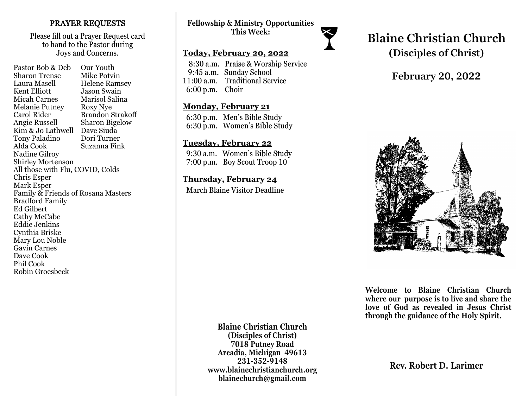#### PRAYER REQUESTS

Please fill out a Prayer Request card to hand to the Pastor during Joys and Concerns.

Pastor Bob & Deb Our Youth Sharon Trense Mike Potvin Laura Masell Helene Ramsey<br>Kent Elliott Jason Swain **Jason Swain** Micah Carnes Marisol Salina Melanie Putney Roxy Nye Carol Rider Brandon Strakoff Angie Russell Sharon Bigelow Kim & Jo Lathwell Dave Siuda<br>Tony Paladino Dori Turner Tony Paladino Alda Cook Suzanna Fink Nadine Gilroy Shirley Mortenson All those with Flu, COVID, Colds Chris Esper Mark Esper Family & Friends of Rosana Masters Bradford Family Ed Gilbert Cathy McCabe Eddie Jenkins Cynthia Briske Mary Lou Noble Gavin Carnes Dave Cook Phil Cook Robin Groesbeck

### **Fellowship & Ministry Opportunities This Week:**

#### **Today, February 20, 2022**

 8:30 a.m. Praise & Worship Service 9:45 a.m. Sunday School 11:00 a.m. Traditional Service 6:00 p.m. Choir

#### **Monday, February 21**

 6:30 p.m. Men's Bible Study 6:30 p.m. Women's Bible Study

#### **Tuesday, February 22**

 9:30 a.m. Women's Bible Study 7:00 p.m. Boy Scout Troop 10

#### **Thursday, February 24**

March Blaine Visitor Deadline

# **Blaine Christian Church (Disciples of Christ)**

## **February 20, 2022**



**Welcome to Blaine Christian Church where our purpose is to live and share the love of God as revealed in Jesus Christ through the guidance of the Holy Spirit.**

**Blaine Christian Church (Disciples of Christ) 7018 Putney Road Arcadia, Michigan 49613 231-352-9148 www.blainechristianchurch.org blainechurch@gmail.com**

**Rev. Robert D. Larimer**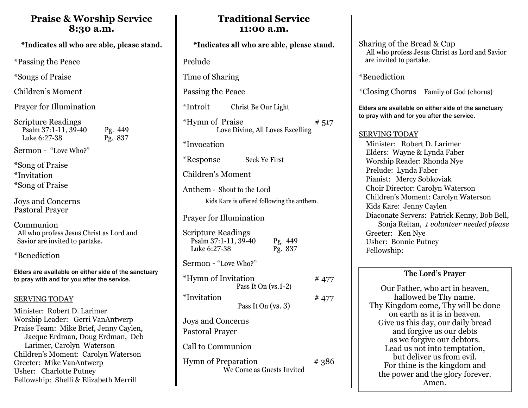## **Praise & Worship Service 8:30 a.m.**

\*Passing the Peace

\*Songs of Praise

Children's Moment

Prayer for Illumination

| <b>Scripture Readings</b> |         |
|---------------------------|---------|
| Psalm 37:1-11, 39-40      | Pg. 449 |
| Luke 6:27-38              | Pg. 837 |

Sermon - "Love Who?"

\*Song of Praise \*Invitation \*Song of Praise

Joys and Concerns Pastoral Prayer

Communion All who profess Jesus Christ as Lord and Savior are invited to partake.

\*Benediction

Elders are available on either side of the sanctuary to pray with and for you after the service.

#### SERVING TODAY

Minister: Robert D. Larimer Worship Leader: Gerri VanAntwerp Praise Team: Mike Brief, Jenny Caylen, Jacque Erdman, Doug Erdman, Deb Larimer, Carolyn Waterson Children's Moment: Carolyn Waterson Greeter: Mike VanAntwerp Usher: Charlotte Putney Fellowship: Shelli & Elizabeth Merrill

## **Traditional Service 11:00 a.m.**

Prelude

Time of Sharing

Passing the Peace

\*Introit Christ Be Our Light

 $***H**$ <sup>\*</sup>Hymn of Praise  $*<sub>517</sub>$ Love Divine, All Loves Excelling

\*Invocation

\*Response Seek Ye First

Children's Moment

Anthem - Shout to the Lord Kids Kare is offered following the anthem.

### Prayer for Illumination

| <b>Scripture Readings</b><br>Psalm 37:1-11, 39-40<br>Luke 6:27-38 | Pg. 449<br>Pg. 837    |       |
|-------------------------------------------------------------------|-----------------------|-------|
| Sermon - "Love Who?"                                              |                       |       |
| *Hymn of Invitation                                               | Pass It On $(vs.1-2)$ | # 477 |
| <i>*Invitation</i>                                                | Pass It On $(vs. 3)$  | #477  |
| Joys and Concerns<br><b>Pastoral Prayer</b>                       |                       |       |

Call to Communion

Hymn of Preparation # 386 We Come as Guests Invited

Sharing of the Bread & Cup All who profess Jesus Christ as Lord and Savior are invited to partake.

\*Benediction

\*Closing Chorus Family of God (chorus)

Elders are available on either side of the sanctuary to pray with and for you after the service.

#### SERVING TODAY

 Minister: Robert D. Larimer Elders: Wayne & Lynda Faber Worship Reader: Rhonda Nye Prelude: Lynda Faber Pianist: Mercy Sobkoviak Choir Director: Carolyn Waterson Children's Moment: Carolyn Waterson Kids Kare: Jenny Caylen Diaconate Servers: Patrick Kenny, Bob Bell, Sonja Reitan, *1 volunteer needed please* Greeter: Ken Nye Usher: Bonnie Putney Fellowship:

### **The Lord's Prayer**

Our Father, who art in heaven, hallowed be Thy name. Thy Kingdom come, Thy will be done on earth as it is in heaven. Give us this day, our daily bread and forgive us our debts as we forgive our debtors. Lead us not into temptation, but deliver us from evil. For thine is the kingdom and the power and the glory forever. Amen.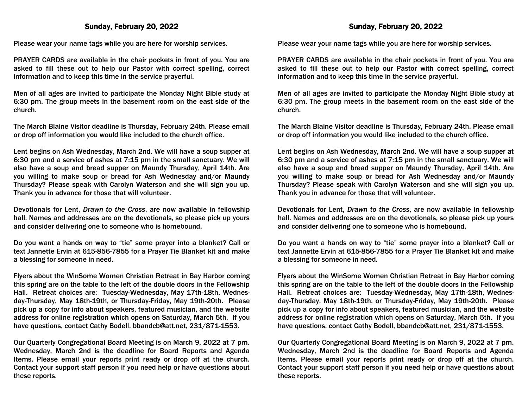#### Sunday, February 20, 2022

Please wear your name tags while you are here for worship services.

PRAYER CARDS are available in the chair pockets in front of you. You are asked to fill these out to help our Pastor with correct spelling, correct information and to keep this time in the service prayerful.

Men of all ages are invited to participate the Monday Night Bible study at 6:30 pm. The group meets in the basement room on the east side of the church.

The March Blaine Visitor deadline is Thursday, February 24th. Please email or drop off information you would like included to the church office.

Lent begins on Ash Wednesday, March 2nd. We will have a soup supper at 6:30 pm and a service of ashes at 7:15 pm in the small sanctuary. We will also have a soup and bread supper on Maundy Thursday, April 14th. Are you willing to make soup or bread for Ash Wednesday and/or Maundy Thursday? Please speak with Carolyn Waterson and she will sign you up. Thank you in advance for those that will volunteer.

Devotionals for Lent, *Drawn to the Cross*, are now available in fellowship hall. Names and addresses are on the devotionals, so please pick up yours and consider delivering one to someone who is homebound.

Do you want a hands on way to "tie" some prayer into a blanket? Call or text Jannette Ervin at 615-856-7855 for a Prayer Tie Blanket kit and make a blessing for someone in need.

Flyers about the WinSome Women Christian Retreat in Bay Harbor coming this spring are on the table to the left of the double doors in the Fellowship Hall. Retreat choices are: Tuesday-Wednesday, May 17th-18th, Wednesday-Thursday, May 18th-19th, or Thursday-Friday, May 19th-20th. Please pick up a copy for info about speakers, featured musician, and the website address for online registration which opens on Saturday, March 5th. If you have questions, contact Cathy Bodell, bbandcb@att.net, 231/871-1553.

Our Quarterly Congregational Board Meeting is on March 9, 2022 at 7 pm. Wednesday, March 2nd is the deadline for Board Reports and Agenda Items. Please email your reports print ready or drop off at the church. Contact your support staff person if you need help or have questions about these reports.

#### Sunday, February 20, 2022

Please wear your name tags while you are here for worship services.

PRAYER CARDS are available in the chair pockets in front of you. You are asked to fill these out to help our Pastor with correct spelling, correct information and to keep this time in the service prayerful.

Men of all ages are invited to participate the Monday Night Bible study at 6:30 pm. The group meets in the basement room on the east side of the church.

The March Blaine Visitor deadline is Thursday, February 24th. Please email or drop off information you would like included to the church office.

Lent begins on Ash Wednesday, March 2nd. We will have a soup supper at 6:30 pm and a service of ashes at 7:15 pm in the small sanctuary. We will also have a soup and bread supper on Maundy Thursday, April 14th. Are you willing to make soup or bread for Ash Wednesday and/or Maundy Thursday? Please speak with Carolyn Waterson and she will sign you up. Thank you in advance for those that will volunteer.

Devotionals for Lent, *Drawn to the Cross*, are now available in fellowship hall. Names and addresses are on the devotionals, so please pick up yours and consider delivering one to someone who is homebound.

Do you want a hands on way to "tie" some prayer into a blanket? Call or text Jannette Ervin at 615-856-7855 for a Prayer Tie Blanket kit and make a blessing for someone in need.

Flyers about the WinSome Women Christian Retreat in Bay Harbor coming this spring are on the table to the left of the double doors in the Fellowship Hall. Retreat choices are: Tuesday-Wednesday, May 17th-18th, Wednesday-Thursday, May 18th-19th, or Thursday-Friday, May 19th-20th. Please pick up a copy for info about speakers, featured musician, and the website address for online registration which opens on Saturday, March 5th. If you have questions, contact Cathy Bodell, bbandcb@att.net, 231/871-1553.

Our Quarterly Congregational Board Meeting is on March 9, 2022 at 7 pm. Wednesday, March 2nd is the deadline for Board Reports and Agenda Items. Please email your reports print ready or drop off at the church. Contact your support staff person if you need help or have questions about these reports.